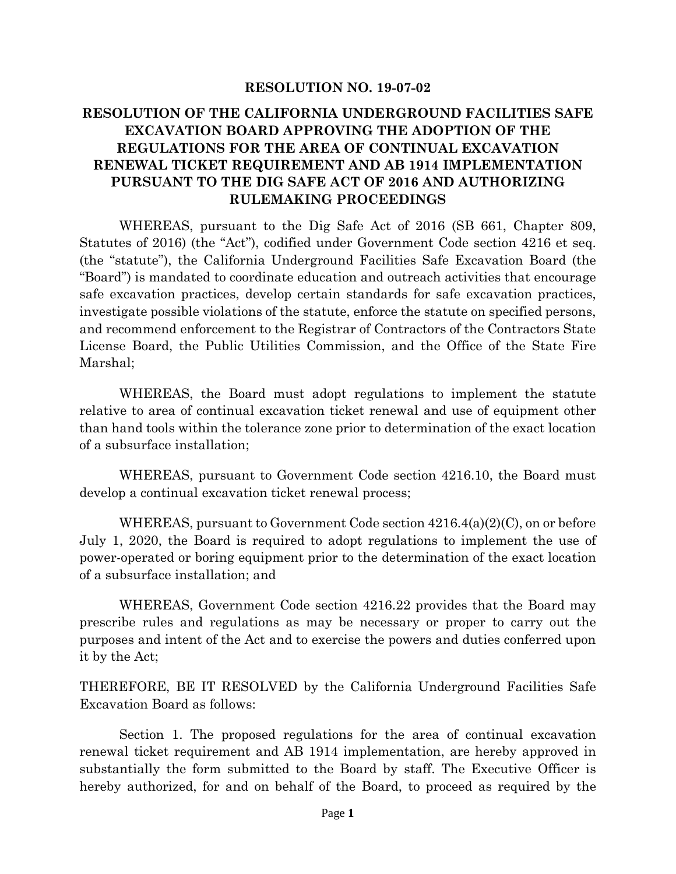#### **RESOLUTION NO. 19-07-02**

## **RESOLUTION OF THE CALIFORNIA UNDERGROUND FACILITIES SAFE EXCAVATION BOARD APPROVING THE ADOPTION OF THE REGULATIONS FOR THE AREA OF CONTINUAL EXCAVATION RENEWAL TICKET REQUIREMENT AND AB 1914 IMPLEMENTATION PURSUANT TO THE DIG SAFE ACT OF 2016 AND AUTHORIZING RULEMAKING PROCEEDINGS**

WHEREAS, pursuant to the Dig Safe Act of 2016 (SB 661, Chapter 809, Statutes of 2016) (the "Act"), codified under Government Code section 4216 et seq. (the "statute"), the California Underground Facilities Safe Excavation Board (the "Board") is mandated to coordinate education and outreach activities that encourage safe excavation practices, develop certain standards for safe excavation practices, investigate possible violations of the statute, enforce the statute on specified persons, and recommend enforcement to the Registrar of Contractors of the Contractors State License Board, the Public Utilities Commission, and the Office of the State Fire Marshal;

WHEREAS, the Board must adopt regulations to implement the statute relative to area of continual excavation ticket renewal and use of equipment other than hand tools within the tolerance zone prior to determination of the exact location of a subsurface installation;

WHEREAS, pursuant to Government Code section 4216.10, the Board must develop a continual excavation ticket renewal process;

WHEREAS, pursuant to Government Code section 4216.4(a)(2)(C), on or before July 1, 2020, the Board is required to adopt regulations to implement the use of power-operated or boring equipment prior to the determination of the exact location of a subsurface installation; and

WHEREAS, Government Code section 4216.22 provides that the Board may prescribe rules and regulations as may be necessary or proper to carry out the purposes and intent of the Act and to exercise the powers and duties conferred upon it by the Act;

THEREFORE, BE IT RESOLVED by the California Underground Facilities Safe Excavation Board as follows:

Section 1. The proposed regulations for the area of continual excavation renewal ticket requirement and AB 1914 implementation, are hereby approved in substantially the form submitted to the Board by staff. The Executive Officer is hereby authorized, for and on behalf of the Board, to proceed as required by the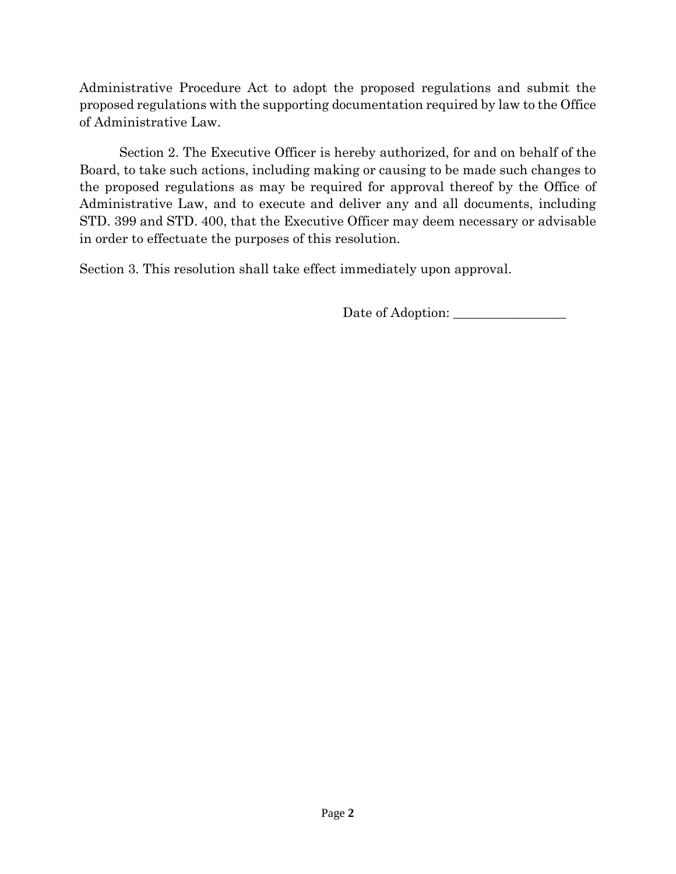Administrative Procedure Act to adopt the proposed regulations and submit the proposed regulations with the supporting documentation required by law to the Office of Administrative Law.

Section 2. The Executive Officer is hereby authorized, for and on behalf of the Board, to take such actions, including making or causing to be made such changes to the proposed regulations as may be required for approval thereof by the Office of Administrative Law, and to execute and deliver any and all documents, including STD. 399 and STD. 400, that the Executive Officer may deem necessary or advisable in order to effectuate the purposes of this resolution.

Section 3. This resolution shall take effect immediately upon approval.

Date of Adoption: \_\_\_\_\_\_\_\_\_\_\_\_\_\_\_\_\_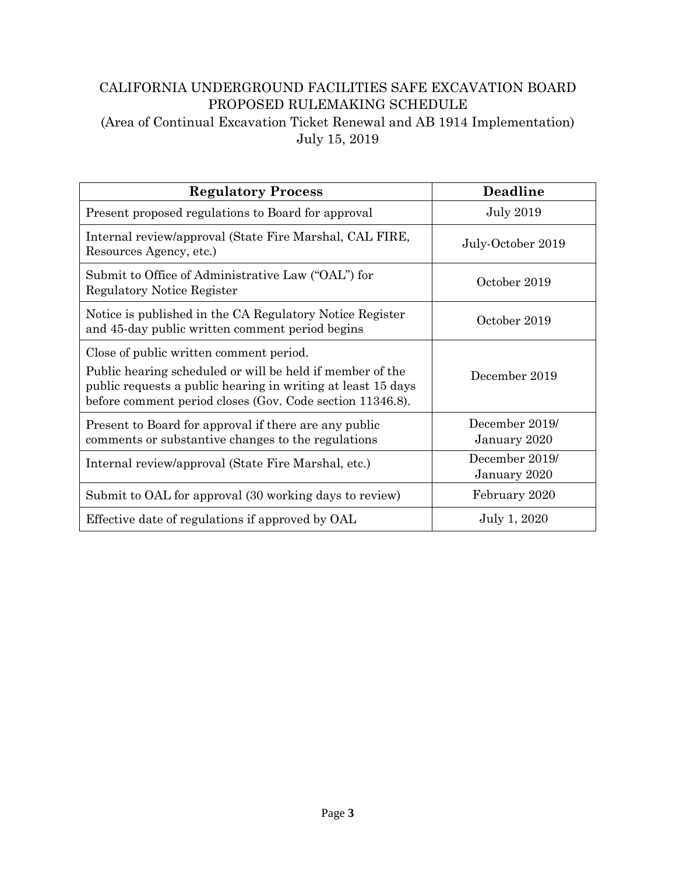# CALIFORNIA UNDERGROUND FACILITIES SAFE EXCAVATION BOARD PROPOSED RULEMAKING SCHEDULE (Area of Continual Excavation Ticket Renewal and AB 1914 Implementation)

July 15, 2019

| <b>Regulatory Process</b>                                                                                                                                                                                                         | <b>Deadline</b>                |
|-----------------------------------------------------------------------------------------------------------------------------------------------------------------------------------------------------------------------------------|--------------------------------|
| Present proposed regulations to Board for approval                                                                                                                                                                                | <b>July 2019</b>               |
| Internal review/approval (State Fire Marshal, CAL FIRE,<br>Resources Agency, etc.)                                                                                                                                                | July-October 2019              |
| Submit to Office of Administrative Law ("OAL") for<br><b>Regulatory Notice Register</b>                                                                                                                                           | October 2019                   |
| Notice is published in the CA Regulatory Notice Register<br>and 45-day public written comment period begins                                                                                                                       | October 2019                   |
| Close of public written comment period.<br>Public hearing scheduled or will be held if member of the<br>public requests a public hearing in writing at least 15 days<br>before comment period closes (Gov. Code section 11346.8). | December 2019                  |
| Present to Board for approval if there are any public<br>comments or substantive changes to the regulations                                                                                                                       | December 2019/<br>January 2020 |
| Internal review/approval (State Fire Marshal, etc.)                                                                                                                                                                               | December 2019/<br>January 2020 |
| Submit to OAL for approval (30 working days to review)                                                                                                                                                                            | February 2020                  |
| Effective date of regulations if approved by OAL                                                                                                                                                                                  | July 1, 2020                   |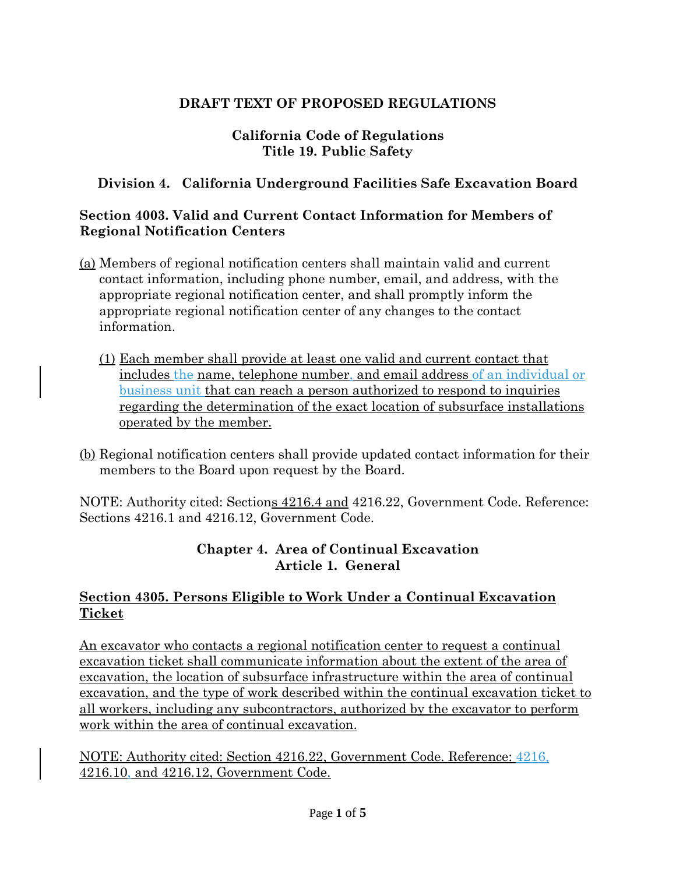# **DRAFT TEXT OF PROPOSED REGULATIONS**

# **California Code of Regulations Title 19. Public Safety**

## **Division 4. California Underground Facilities Safe Excavation Board**

#### **Section 4003. Valid and Current Contact Information for Members of Regional Notification Centers**

- (a) Members of regional notification centers shall maintain valid and current contact information, including phone number, email, and address, with the appropriate regional notification center, and shall promptly inform the appropriate regional notification center of any changes to the contact information.
	- (1) Each member shall provide at least one valid and current contact that includes the name, telephone number, and email address of an individual or business unit that can reach a person authorized to respond to inquiries regarding the determination of the exact location of subsurface installations operated by the member.
- (b) Regional notification centers shall provide updated contact information for their members to the Board upon request by the Board.

NOTE: Authority cited: Sections 4216.4 and 4216.22, Government Code. Reference: Sections 4216.1 and 4216.12, Government Code.

### **Chapter 4. Area of Continual Excavation Article 1. General**

### **Section 4305. Persons Eligible to Work Under a Continual Excavation Ticket**

An excavator who contacts a regional notification center to request a continual excavation ticket shall communicate information about the extent of the area of excavation, the location of subsurface infrastructure within the area of continual excavation, and the type of work described within the continual excavation ticket to all workers, including any subcontractors, authorized by the excavator to perform work within the area of continual excavation.

NOTE: Authority cited: Section 4216.22, Government Code. Reference: 4216, 4216.10, and 4216.12, Government Code.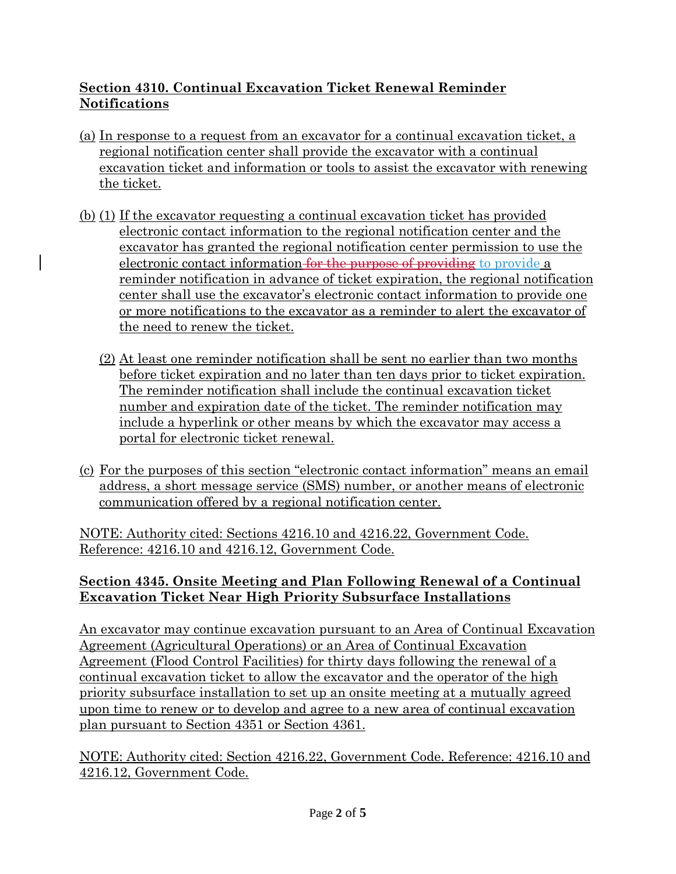# **Section 4310. Continual Excavation Ticket Renewal Reminder Notifications**

- (a) In response to a request from an excavator for a continual excavation ticket, a regional notification center shall provide the excavator with a continual the ticket.
- excavation ticket and information or tools to assist the excavator with renewing<br>the ticket.<br>(b) (1) If the excavator requesting a continual excavation ticket has provided<br>electronic contact information to the regional not (b) (1) If the excavator requesting a continual excavation ticket has provided electronic contact information to the regional notification center and the excavator has granted the regional notification center permission to use the electronic contact information for the purpose of providing to provide a reminder notification in advance of ticket expiration, the regional notification center shall use the excavator's electronic contact information to provide one or more notifications to the excavator as a reminder to alert the excavator of the need to renew the ticket.
	- (2) At least one reminder notification shall be sent no earlier than two months before ticket expiration and no later than ten days prior to ticket expiration. The reminder notification shall include the continual excavation ticket number and expiration date of the ticket. The reminder notification may include a hyperlink or other means by which the excavator may access a portal for electronic ticket renewal.
- (c) For the purposes of this section "electronic contact information" means an email address, a short message service (SMS) number, or another means of electronic communication offered by a regional notification center.

NOTE: Authority cited: Sections 4216.10 and 4216.22, Government Code. Reference: 4216.10 and 4216.12, Government Code.

# **Section 4345. Onsite Meeting and Plan Following Renewal of a Continual Excavation Ticket Near High Priority Subsurface Installations**

An excavator may continue excavation pursuant to an Area of Continual Excavation Agreement (Agricultural Operations) or an Area of Continual Excavation Agreement (Flood Control Facilities) for thirty days following the renewal of a continual excavation ticket to allow the excavator and the operator of the high priority subsurface installation to set up an onsite meeting at a mutually agreed upon time to renew or to develop and agree to a new area of continual excavation plan pursuant to Section 4351 or Section 4361.

NOTE: Authority cited: Section 4216.22, Government Code. Reference: 4216.10 and 4216.12, Government Code.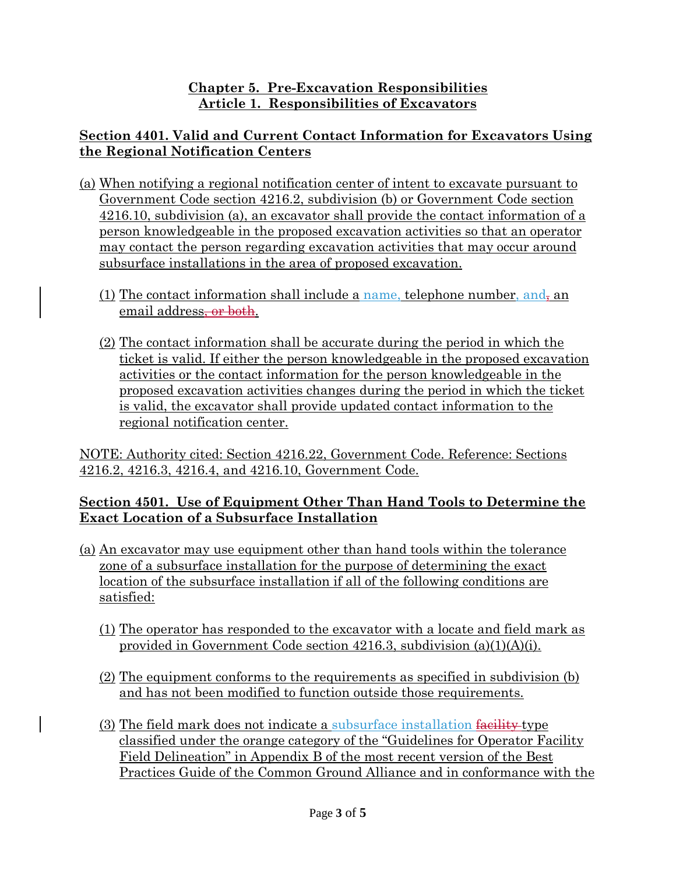### **Chapter 5. Pre-Excavation Responsibilities Article 1. Responsibilities of Excavators**

# **Section 4401. Valid and Current Contact Information for Excavators Using the Regional Notification Centers**

- (a) When notifying a regional notification center of intent to excavate pursuant to Government Code section 4216.2, subdivision (b) or Government Code section 4216.10, subdivision (a), an excavator shall provide the contact information of a person knowledgeable in the proposed excavation activities so that an operator may contact the person regarding excavation activities that may occur around subsurface installations in the area of proposed excavation.
	- (1) The contact information shall include a name, telephone number, and, an email address<del>, or both</del>.
	- (2) The contact information shall be accurate during the period in which the ticket is valid. If either the person knowledgeable in the proposed excavation activities or the contact information for the person knowledgeable in the proposed excavation activities changes during the period in which the ticket is valid, the excavator shall provide updated contact information to the regional notification center.

NOTE: Authority cited: Section 4216.22, Government Code. Reference: Sections 4216.2, 4216.3, 4216.4, and 4216.10, Government Code.

### **Section 4501. Use of Equipment Other Than Hand Tools to Determine the Exact Location of a Subsurface Installation**

- (a) An excavator may use equipment other than hand tools within the tolerance zone of a subsurface installation for the purpose of determining the exact location of the subsurface installation if all of the following conditions are satisfied:
	- (1) The operator has responded to the excavator with a locate and field mark as provided in Government Code section 4216.3, subdivision (a)(1)(A)(i).
	- (2) The equipment conforms to the requirements as specified in subdivision (b) and has not been modified to function outside those requirements.
	- (3) The field mark does not indicate a subsurface installation facility-type classified under the orange category of the "Guidelines for Operator Facility Field Delineation" in Appendix B of the most recent version of the Best Practices Guide of the Common Ground Alliance and in conformance with the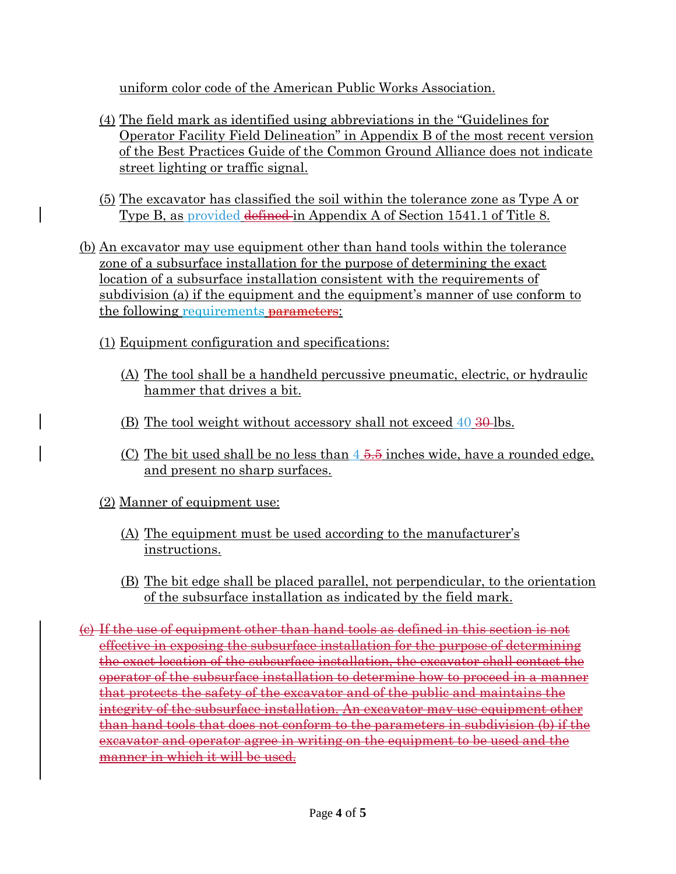uniform color code of the American Public Works Association.

- (4) The field mark as identified using abbreviations in the "Guidelines for Operator Facility Field Delineation" in Appendix B of the most recent version of the Best Practices Guide of the Common Ground Alliance does not indicate street lighting or traffic signal.
- (5) The excavator has classified the soil within the tolerance zone as Type A or Type B, as provided defined in Appendix A of Section 1541.1 of Title 8.
- (b) An excavator may use equipment other than hand tools within the tolerance zone of a subsurface installation for the purpose of determining the exact location of a subsurface installation consistent with the requirements of subdivision (a) if the equipment and the equipment's manner of use conform to the following requirements **parameters**:
	- (1) Equipment configuration and specifications:
		- (A) The tool shall be a handheld percussive pneumatic, electric, or hydraulic hammer that drives a bit.
		- (B) The tool weight without accessory shall not exceed  $40\frac{1}{2}\Theta$ -lbs.
		- (C) The bit used shall be no less than  $4\frac{5.5}{10}$  inches wide, have a rounded edge, and present no sharp surfaces.
	- (2) Manner of equipment use:
		- (A) The equipment must be used according to the manufacturer's instructions.
		- (B) The bit edge shall be placed parallel, not perpendicular, to the orientation of the subsurface installation as indicated by the field mark.
- (c) If the use of equipment other than hand tools as defined in this section is not effective in exposing the subsurface installation for the purpose of determining the exact location of the subsurface installation, the excavator shall contact the operator of the subsurface installation to determine how to proceed in a manner that protects the safety of the excavator and of the public and maintains the integrity of the subsurface installation. An excavator may use equipment other than hand tools that does not conform to the parameters in subdivision (b) if the excavator and operator agree in writing on the equipment to be used and the manner in which it will be used.